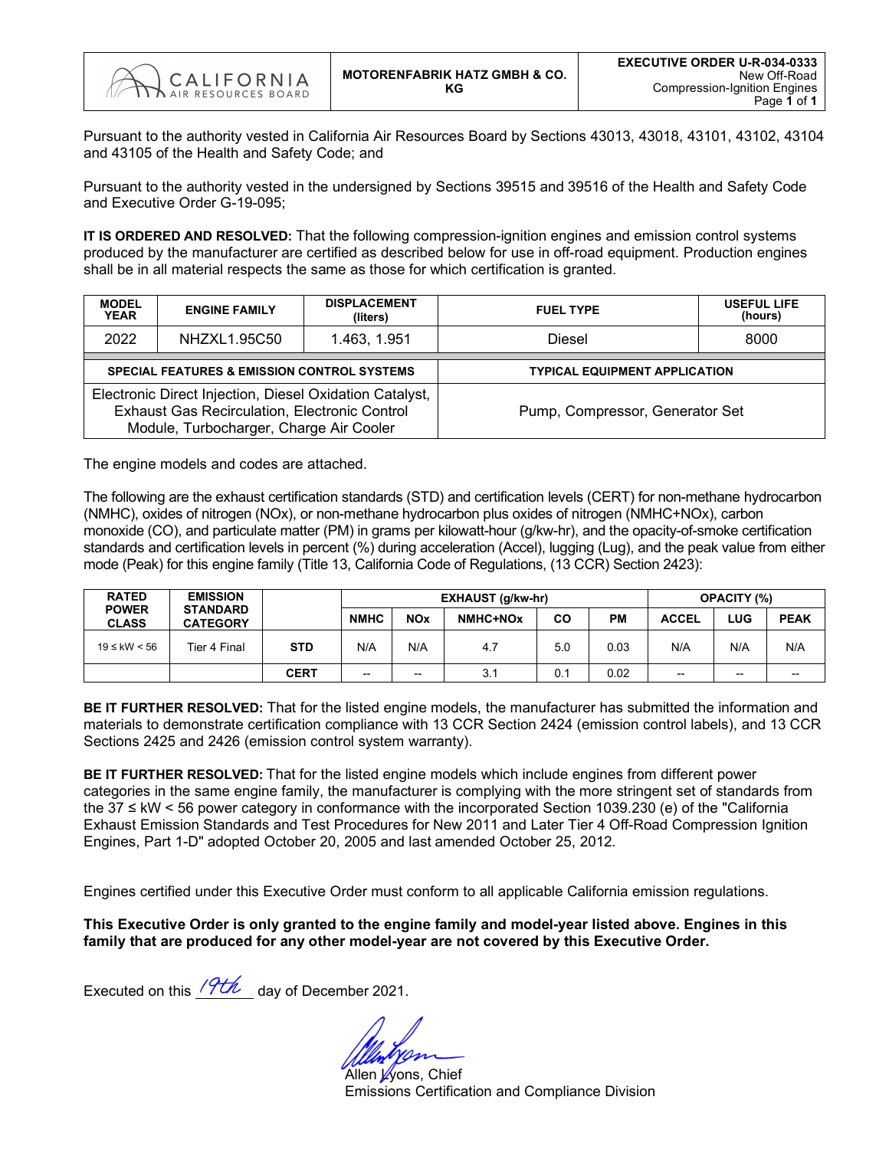

Pursuant to the authority vested in California Air Resources Board by Sections 43013, 43018, 43101, 43102, 43104 and 43105 of the Health and Safety Code; and

Pursuant to the authority vested in the undersigned by Sections 39515 and 39516 of the Health and Safety Code and Executive Order G-19-095;

**IT IS ORDERED AND RESOLVED:** That the following compression-ignition engines and emission control systems produced by the manufacturer are certified as described below for use in off-road equipment. Production engines shall be in all material respects the same as those for which certification is granted.

| <b>MODEL</b><br><b>YEAR</b> | <b>ENGINE FAMILY</b>                                                                                                                                | <b>DISPLACEMENT</b><br>(liters) | <b>FUEL TYPE</b>                     | <b>USEFUL LIFE</b><br>(hours) |  |  |  |  |
|-----------------------------|-----------------------------------------------------------------------------------------------------------------------------------------------------|---------------------------------|--------------------------------------|-------------------------------|--|--|--|--|
| 2022                        | NHZXL1.95C50                                                                                                                                        | 1.463, 1.951                    | Diesel                               | 8000                          |  |  |  |  |
|                             | <b>SPECIAL FEATURES &amp; EMISSION CONTROL SYSTEMS</b>                                                                                              |                                 | <b>TYPICAL EQUIPMENT APPLICATION</b> |                               |  |  |  |  |
|                             | Electronic Direct Injection, Diesel Oxidation Catalyst,<br>Exhaust Gas Recirculation, Electronic Control<br>Module, Turbocharger, Charge Air Cooler |                                 | Pump, Compressor, Generator Set      |                               |  |  |  |  |

The engine models and codes are attached.

The following are the exhaust certification standards (STD) and certification levels (CERT) for non-methane hydrocarbon (NMHC), oxides of nitrogen (NOx), or non-methane hydrocarbon plus oxides of nitrogen (NMHC+NOx), carbon monoxide (CO), and particulate matter (PM) in grams per kilowatt-hour (g/kw-hr), and the opacity-of-smoke certification standards and certification levels in percent (%) during acceleration (Accel), lugging (Lug), and the peak value from either mode (Peak) for this engine family (Title 13, California Code of Regulations, (13 CCR) Section 2423):

| <b>RATED</b>                 | <b>EMISSION</b>                    |             |             |                          | EXHAUST (g/kw-hr) | <b>OPACITY (%)</b> |           |                          |       |             |
|------------------------------|------------------------------------|-------------|-------------|--------------------------|-------------------|--------------------|-----------|--------------------------|-------|-------------|
| <b>POWER</b><br><b>CLASS</b> | <b>STANDARD</b><br><b>CATEGORY</b> |             | <b>NMHC</b> | <b>NOx</b>               | NMHC+NOx          | <b>CO</b>          | <b>PM</b> | <b>ACCEL</b>             | LUG   | <b>PEAK</b> |
| $19 ≤$ kW < 56               | Tier 4 Final                       | <b>STD</b>  | N/A         | N/A                      | 4.7               | 5.0                | 0.03      | N/A                      | N/A   | N/A         |
|                              |                                    | <b>CERT</b> | --          | $\overline{\phantom{a}}$ | 3.1               | 0.1                | 0.02      | $\overline{\phantom{a}}$ | $- -$ | --          |

**BE IT FURTHER RESOLVED:** That for the listed engine models, the manufacturer has submitted the information and materials to demonstrate certification compliance with 13 CCR Section 2424 (emission control labels), and 13 CCR Sections 2425 and 2426 (emission control system warranty).

**BE IT FURTHER RESOLVED:** That for the listed engine models which include engines from different power categories in the same engine family, the manufacturer is complying with the more stringent set of standards from the 37 ≤ kW < 56 power category in conformance with the incorporated Section 1039.230 (e) of the "California Exhaust Emission Standards and Test Procedures for New 2011 and Later Tier 4 Off-Road Compression Ignition Engines, Part 1-D" adopted October 20, 2005 and last amended October 25, 2012.

Engines certified under this Executive Order must conform to all applicable California emission regulations.

**This Executive Order is only granted to the engine family and model-year listed above. Engines in this family that are produced for any other model-year are not covered by this Executive Order.**

Executed on this  $\sqrt{7t\hbar}$  day of December 2021.

Allen Wons, Chief Emissions Certification and Compliance Division